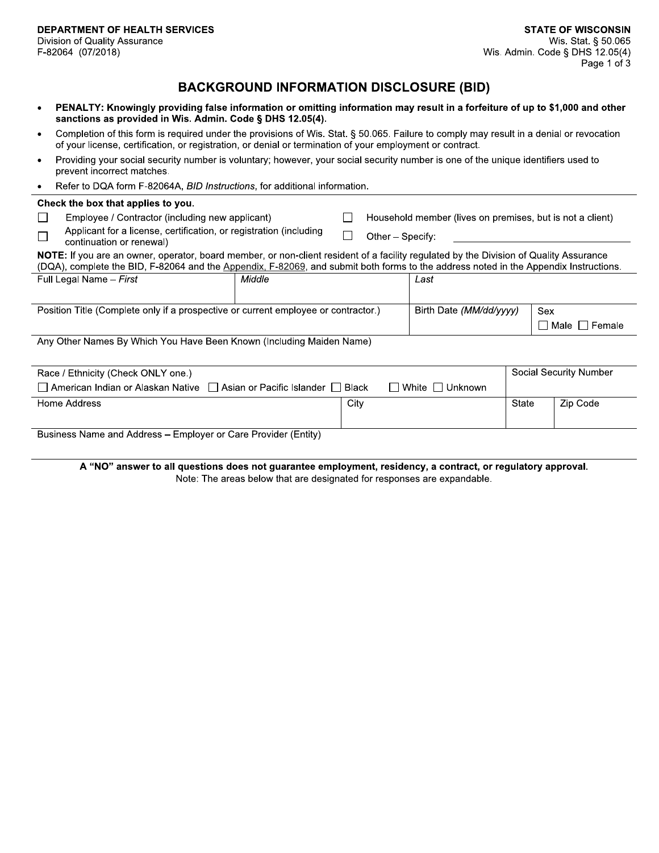## **BACKGROUND INFORMATION DISCLOSURE (BID)**

- PENALTY: Knowingly providing false information or omitting information may result in a forfeiture of up to \$1,000 and other sanctions as provided in Wis. Admin. Code § DHS 12.05(4).
- Completion of this form is required under the provisions of Wis. Stat. § 50.065. Failure to comply may result in a denial or revocation of your license, certification, or registration, or denial or termination of your employment or contract.
- Providing your social security number is voluntary; however, your social security number is one of the unique identifiers used to prevent incorrect matches.
- Refer to DQA form F-82064A, BID Instructions, for additional information.

| Check the box that applies to you.                                                                                                                                                                                                                                             |                                                                                                |        |      |  |                         |                                                           |     |                 |  |  |
|--------------------------------------------------------------------------------------------------------------------------------------------------------------------------------------------------------------------------------------------------------------------------------|------------------------------------------------------------------------------------------------|--------|------|--|-------------------------|-----------------------------------------------------------|-----|-----------------|--|--|
|                                                                                                                                                                                                                                                                                | Employee / Contractor (including new applicant)                                                |        |      |  |                         | Household member (lives on premises, but is not a client) |     |                 |  |  |
|                                                                                                                                                                                                                                                                                | Applicant for a license, certification, or registration (including<br>continuation or renewal) |        |      |  | Other - Specify:        |                                                           |     |                 |  |  |
| NOTE: If you are an owner, operator, board member, or non-client resident of a facility regulated by the Division of Quality Assurance<br>(DQA), complete the BID, F-82064 and the Appendix, F-82069, and submit both forms to the address noted in the Appendix Instructions. |                                                                                                |        |      |  |                         |                                                           |     |                 |  |  |
|                                                                                                                                                                                                                                                                                | Full Legal Name - First                                                                        | Middle |      |  | Last                    |                                                           |     |                 |  |  |
| Position Title (Complete only if a prospective or current employee or contractor.)                                                                                                                                                                                             |                                                                                                |        |      |  | Birth Date (MM/dd/yyyy) |                                                           | Sex |                 |  |  |
|                                                                                                                                                                                                                                                                                |                                                                                                |        |      |  |                         |                                                           |     | Male     Female |  |  |
| Any Other Names By Which You Have Been Known (Including Maiden Name)                                                                                                                                                                                                           |                                                                                                |        |      |  |                         |                                                           |     |                 |  |  |
| Race / Ethnicity (Check ONLY one.)                                                                                                                                                                                                                                             |                                                                                                |        |      |  |                         | Social Security Number                                    |     |                 |  |  |
| American Indian or Alaskan Native   Asian or Pacific Islander   Black<br>White I Unknown                                                                                                                                                                                       |                                                                                                |        |      |  |                         |                                                           |     |                 |  |  |
|                                                                                                                                                                                                                                                                                | Home Address                                                                                   |        | City |  |                         | State                                                     |     | Zip Code        |  |  |
| Business Name and Address - Employer or Care Provider (Entity)                                                                                                                                                                                                                 |                                                                                                |        |      |  |                         |                                                           |     |                 |  |  |

A "NO" answer to all questions does not guarantee employment, residency, a contract, or regulatory approval. Note: The areas below that are designated for responses are expandable.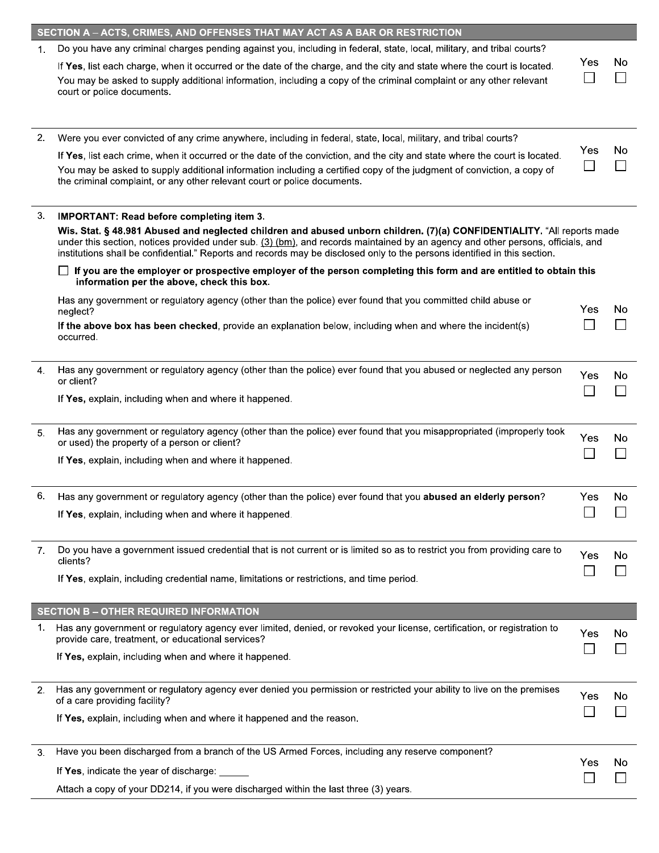|    | SECTION A - ACTS, CRIMES, AND OFFENSES THAT MAY ACT AS A BAR OR RESTRICTION                                                                                                                                                                                                                                                                                                             |     |    |
|----|-----------------------------------------------------------------------------------------------------------------------------------------------------------------------------------------------------------------------------------------------------------------------------------------------------------------------------------------------------------------------------------------|-----|----|
| 1. | Do you have any criminal charges pending against you, including in federal, state, local, military, and tribal courts?                                                                                                                                                                                                                                                                  |     |    |
|    | If Yes, list each charge, when it occurred or the date of the charge, and the city and state where the court is located.<br>You may be asked to supply additional information, including a copy of the criminal complaint or any other relevant<br>court or police documents.                                                                                                           | Yes | No |
|    |                                                                                                                                                                                                                                                                                                                                                                                         |     |    |
| 2. | Were you ever convicted of any crime anywhere, including in federal, state, local, military, and tribal courts?                                                                                                                                                                                                                                                                         |     |    |
|    | If Yes, list each crime, when it occurred or the date of the conviction, and the city and state where the court is located.<br>You may be asked to supply additional information including a certified copy of the judgment of conviction, a copy of<br>the criminal complaint, or any other relevant court or police documents.                                                        | Yes | No |
| 3. | <b>IMPORTANT: Read before completing item 3.</b>                                                                                                                                                                                                                                                                                                                                        |     |    |
|    | Wis. Stat. § 48.981 Abused and neglected children and abused unborn children. (7)(a) CONFIDENTIALITY. "All reports made<br>under this section, notices provided under sub. (3) (bm), and records maintained by an agency and other persons, officials, and<br>institutions shall be confidential." Reports and records may be disclosed only to the persons identified in this section. |     |    |
|    | If you are the employer or prospective employer of the person completing this form and are entitled to obtain this<br>information per the above, check this box.                                                                                                                                                                                                                        |     |    |
|    | Has any government or regulatory agency (other than the police) ever found that you committed child abuse or<br>neglect?                                                                                                                                                                                                                                                                | Yes | No |
|    | If the above box has been checked, provide an explanation below, including when and where the incident(s)<br>occurred.                                                                                                                                                                                                                                                                  |     |    |
| 4. | Has any government or regulatory agency (other than the police) ever found that you abused or neglected any person<br>or client?                                                                                                                                                                                                                                                        | Yes | No |
|    | If Yes, explain, including when and where it happened.                                                                                                                                                                                                                                                                                                                                  |     |    |
| 5. | Has any government or regulatory agency (other than the police) ever found that you misappropriated (improperly took<br>or used) the property of a person or client?                                                                                                                                                                                                                    | Yes | No |
|    | If Yes, explain, including when and where it happened.                                                                                                                                                                                                                                                                                                                                  |     |    |
| 6. | Has any government or regulatory agency (other than the police) ever found that you abused an elderly person?                                                                                                                                                                                                                                                                           | Yes | No |
|    | If Yes, explain, including when and where it happened.                                                                                                                                                                                                                                                                                                                                  |     |    |
| 7. | Do you have a government issued credential that is not current or is limited so as to restrict you from providing care to<br>clients?                                                                                                                                                                                                                                                   | Yes | No |
|    | If Yes, explain, including credential name, limitations or restrictions, and time period.                                                                                                                                                                                                                                                                                               |     |    |
|    | <b>SECTION B - OTHER REQUIRED INFORMATION</b>                                                                                                                                                                                                                                                                                                                                           |     |    |
| 1. | Has any government or regulatory agency ever limited, denied, or revoked your license, certification, or registration to<br>provide care, treatment, or educational services?                                                                                                                                                                                                           | Yes | No |
|    | If Yes, explain, including when and where it happened.                                                                                                                                                                                                                                                                                                                                  |     |    |
| 2. | Has any government or regulatory agency ever denied you permission or restricted your ability to live on the premises<br>of a care providing facility?                                                                                                                                                                                                                                  | Yes | No |
|    | If Yes, explain, including when and where it happened and the reason.                                                                                                                                                                                                                                                                                                                   |     |    |
| 3. | Have you been discharged from a branch of the US Armed Forces, including any reserve component?                                                                                                                                                                                                                                                                                         |     |    |
|    | If Yes, indicate the year of discharge:                                                                                                                                                                                                                                                                                                                                                 | Yes | No |
|    | Attach a copy of your DD214, if you were discharged within the last three (3) years.                                                                                                                                                                                                                                                                                                    |     |    |